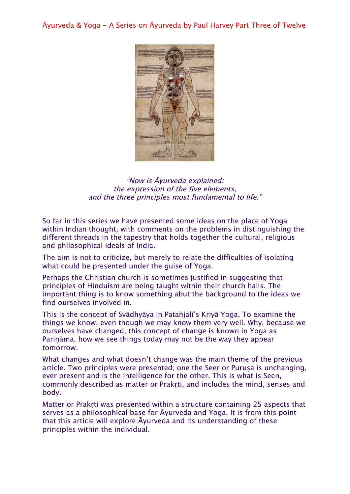Āyurveda & Yoga - A Series on Āyurveda by Paul Harvey Part Three of Twelve



"Now is Āyurveda explained: the expression of the five elements, and the three principles most fundamental to life."

So far in this series we have presented some ideas on the place of Yoga within Indian thought, with comments on the problems in distinguishing the different threads in the tapestry that holds together the cultural, religious and philosophical ideals of India.

The aim is not to criticize, but merely to relate the difficulties of isolating what could be presented under the guise of Yoga.

Perhaps the Christian church is sometimes justified in suggesting that principles of Hinduism are being taught within their church halls. The important thing is to know something abut the background to the ideas we find ourselves involved in.

This is the concept of Svādhyāya in Patañjali's Kriyā Yoga. To examine the things we know, even though we may know them very well. Why, because we ourselves have changed, this concept of change is known in Yoga as Pariṇāma, how we see things today may not be the way they appear tomorrow.

What changes and what doesn't change was the main theme of the previous article. Two principles were presented; one the Seer or Purusa is unchanging, ever present and is the intelligence for the other. This is what is Seen, commonly described as matter or Prakṛti, and includes the mind, senses and body.

Matter or Prakrti was presented within a structure containing 25 aspects that serves as a philosophical base for Āyurveda and Yoga. It is from this point that this article will explore Āyurveda and its understanding of these principles within the individual.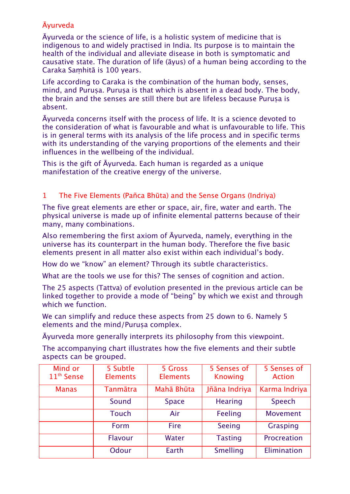# Āyurveda

Āyurveda or the science of life, is a holistic system of medicine that is indigenous to and widely practised in India. Its purpose is to maintain the health of the individual and alleviate disease in both is symptomatic and causative state. The duration of life (āyus) of a human being according to the Caraka Saṃhitā is 100 years.

Life according to Caraka is the combination of the human body, senses, mind, and Purusa. Purusa is that which is absent in a dead body. The body, the brain and the senses are still there but are lifeless because Purusa is absent.

Āyurveda concerns itself with the process of life. It is a science devoted to the consideration of what is favourable and what is unfavourable to life. This is in general terms with its analysis of the life process and in specific terms with its understanding of the varying proportions of the elements and their influences in the wellbeing of the individual.

This is the gift of Āyurveda. Each human is regarded as a unique manifestation of the creative energy of the universe.

## 1 The Five Elements (Pañca Bhūta) and the Sense Organs (Indriya)

The five great elements are ether or space, air, fire, water and earth. The physical universe is made up of infinite elemental patterns because of their many, many combinations.

Also remembering the first axiom of Āyurveda, namely, everything in the universe has its counterpart in the human body. Therefore the five basic elements present in all matter also exist within each individual's body.

How do we "know" an element? Through its subtle characteristics.

What are the tools we use for this? The senses of cognition and action.

The 25 aspects (Tattva) of evolution presented in the previous article can be linked together to provide a mode of "being" by which we exist and through which we function.

We can simplify and reduce these aspects from 25 down to 6. Namely 5 elements and the mind/Purusa complex.

Āyurveda more generally interprets its philosophy from this viewpoint.

The accompanying chart illustrates how the five elements and their subtle aspects can be grouped.

| Mind or                | 5 Subtle        | 5 Gross         | 5 Senses of    | 5 Senses of     |
|------------------------|-----------------|-----------------|----------------|-----------------|
| 11 <sup>th</sup> Sense | <b>Elements</b> | <b>Elements</b> | <b>Knowing</b> | <b>Action</b>   |
| <b>Manas</b>           | <b>Tanmātra</b> | Mahā Bhūta      | Jñāna Indriya  | Karma Indriya   |
|                        | Sound           | <b>Space</b>    | <b>Hearing</b> | Speech          |
|                        | Touch           | Air             | <b>Feeling</b> | <b>Movement</b> |
|                        | Form            | <b>Fire</b>     | Seeing         | Grasping        |
|                        | Flavour         | Water           | <b>Tasting</b> | Procreation     |
|                        | Odour           | Earth           | Smelling       | Elimination     |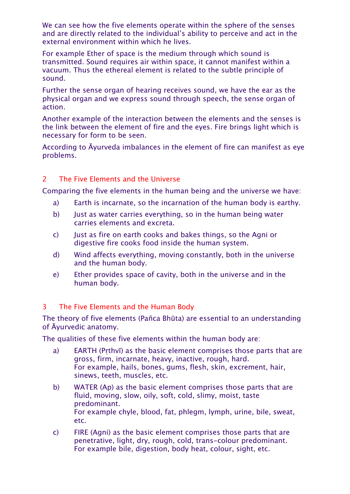We can see how the five elements operate within the sphere of the senses and are directly related to the individual's ability to perceive and act in the external environment within which he lives.

For example Ether of space is the medium through which sound is transmitted. Sound requires air within space, it cannot manifest within a vacuum. Thus the ethereal element is related to the subtle principle of sound.

Further the sense organ of hearing receives sound, we have the ear as the physical organ and we express sound through speech, the sense organ of action.

Another example of the interaction between the elements and the senses is the link between the element of fire and the eyes. Fire brings light which is necessary for form to be seen.

According to Āyurveda imbalances in the element of fire can manifest as eye problems.

### 2 The Five Elements and the Universe

Comparing the five elements in the human being and the universe we have:

- a) Earth is incarnate, so the incarnation of the human body is earthy.
- b) Just as water carries everything, so in the human being water carries elements and excreta.
- c) Just as fire on earth cooks and bakes things, so the Agni or digestive fire cooks food inside the human system.
- d) Wind affects everything, moving constantly, both in the universe and the human body.
- e) Ether provides space of cavity, both in the universe and in the human body.

#### 3 The Five Elements and the Human Body

The theory of five elements (Pañca Bhūta) are essential to an understanding of Āyurvedic anatomy.

The qualities of these five elements within the human body are:

- a) EARTH (Pṛthvī) as the basic element comprises those parts that are gross, firm, incarnate, heavy, inactive, rough, hard. For example, hails, bones, gums, flesh, skin, excrement, hair, sinews, teeth, muscles, etc.
- b) WATER (Ap) as the basic element comprises those parts that are fluid, moving, slow, oily, soft, cold, slimy, moist, taste predominant. For example chyle, blood, fat, phlegm, lymph, urine, bile, sweat, etc.
- c) FIRE (Agni) as the basic element comprises those parts that are penetrative, light, dry, rough, cold, trans-colour predominant. For example bile, digestion, body heat, colour, sight, etc.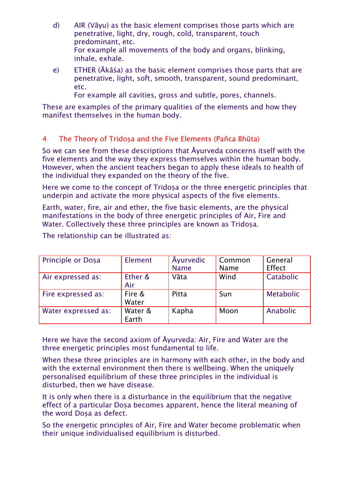- d) AIR (Vāyu) as the basic element comprises those parts which are penetrative, light, dry, rough, cold, transparent, touch predominant, etc. For example all movements of the body and organs, blinking, inhale, exhale.
- e) ETHER (Ākāśa) as the basic element comprises those parts that are penetrative, light, soft, smooth, transparent, sound predominant, etc.

For example all cavities, gross and subtle, pores, channels.

These are examples of the primary qualities of the elements and how they manifest themselves in the human body.

## 4 The Theory of Tridoṣa and the Five Elements (Pañca Bhūta)

So we can see from these descriptions that Āyurveda concerns itself with the five elements and the way they express themselves within the human body. However, when the ancient teachers began to apply these ideals to health of the individual they expanded on the theory of the five.

Here we come to the concept of Tridosa or the three energetic principles that underpin and activate the more physical aspects of the five elements.

Earth, water, fire, air and ether, the five basic elements, are the physical manifestations in the body of three energetic principles of Air, Fire and Water. Collectively these three principles are known as Tridosa.

| Principle or Dosa   | Element          | <b>Ayurvedic</b><br><b>Name</b> | Common<br>Name | General<br>Effect |
|---------------------|------------------|---------------------------------|----------------|-------------------|
| Air expressed as:   | Ether &<br>Air   | Vāta                            | Wind           | Catabolic         |
| Fire expressed as:  | Fire &<br>Water  | Pitta                           | Sun            | <b>Metabolic</b>  |
| Water expressed as: | Water &<br>Earth | Kapha                           | Moon           | <b>Anabolic</b>   |

The relationship can be illustrated as:

Here we have the second axiom of Āyurveda: Air, Fire and Water are the three energetic principles most fundamental to life.

When these three principles are in harmony with each other, in the body and with the external environment then there is wellbeing. When the uniquely personalised equilibrium of these three principles in the individual is disturbed, then we have disease.

It is only when there is a disturbance in the equilibrium that the negative effect of a particular Dosa becomes apparent, hence the literal meaning of the word Dosa as defect.

So the energetic principles of Air, Fire and Water become problematic when their unique individualised equilibrium is disturbed.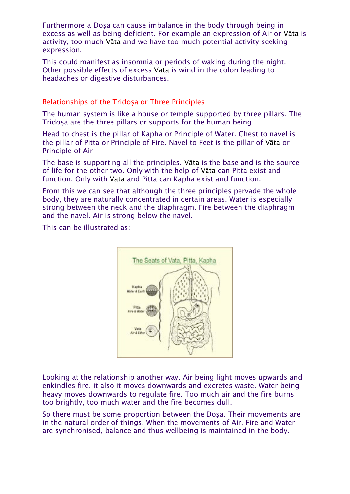Furthermore a Dosa can cause imbalance in the body through being in excess as well as being deficient. For example an expression of Air or Vāta is activity, too much Vāta and we have too much potential activity seeking expression.

This could manifest as insomnia or periods of waking during the night. Other possible effects of excess Vāta is wind in the colon leading to headaches or digestive disturbances.

#### Relationships of the Tridosa or Three Principles

The human system is like a house or temple supported by three pillars. The Tridosa are the three pillars or supports for the human being.

Head to chest is the pillar of Kapha or Principle of Water. Chest to navel is the pillar of Pitta or Principle of Fire. Navel to Feet is the pillar of Vāta or Principle of Air

The base is supporting all the principles. Vāta is the base and is the source of life for the other two. Only with the help of Vāta can Pitta exist and function. Only with Vāta and Pitta can Kapha exist and function.

From this we can see that although the three principles pervade the whole body, they are naturally concentrated in certain areas. Water is especially strong between the neck and the diaphragm. Fire between the diaphragm and the navel. Air is strong below the navel.

This can be illustrated as:



Looking at the relationship another way. Air being light moves upwards and enkindles fire, it also it moves downwards and excretes waste. Water being heavy moves downwards to regulate fire. Too much air and the fire burns too brightly, too much water and the fire becomes dull.

So there must be some proportion between the Dosa. Their movements are in the natural order of things. When the movements of Air, Fire and Water are synchronised, balance and thus wellbeing is maintained in the body.